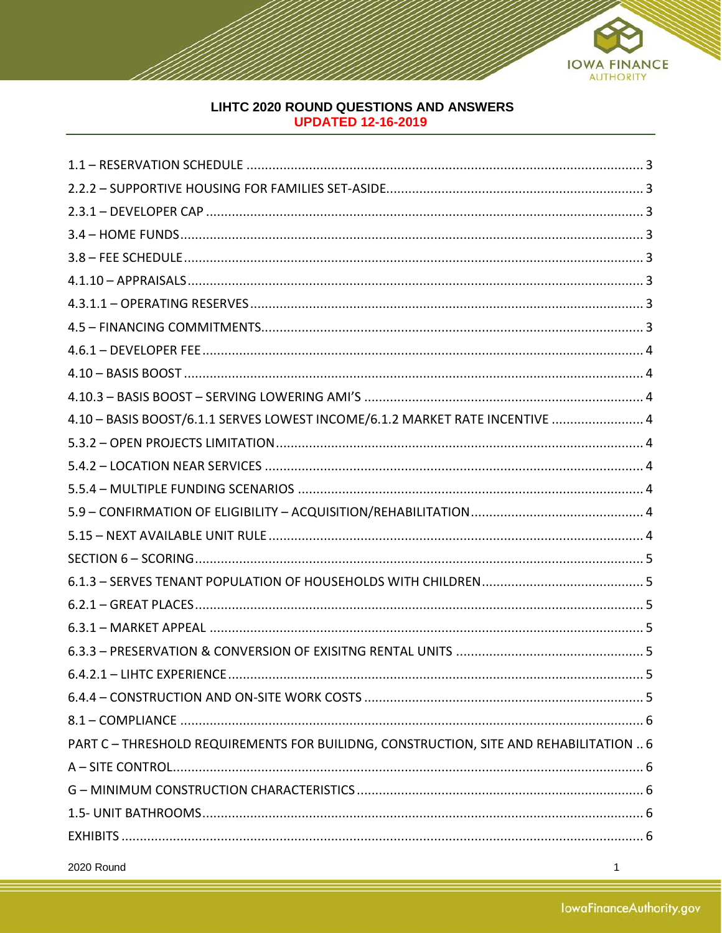

# LIHTC 2020 ROUND QUESTIONS AND ANSWERS **UPDATED 12-16-2019**

| 4.10 - BASIS BOOST/6.1.1 SERVES LOWEST INCOME/6.1.2 MARKET RATE INCENTIVE  4           |
|----------------------------------------------------------------------------------------|
|                                                                                        |
|                                                                                        |
|                                                                                        |
|                                                                                        |
|                                                                                        |
|                                                                                        |
|                                                                                        |
|                                                                                        |
|                                                                                        |
|                                                                                        |
|                                                                                        |
|                                                                                        |
|                                                                                        |
| PART C - THRESHOLD REQUIREMENTS FOR BUILIDNG, CONSTRUCTION, SITE AND REHABILITATION  6 |
|                                                                                        |
|                                                                                        |
|                                                                                        |
|                                                                                        |

2020 Round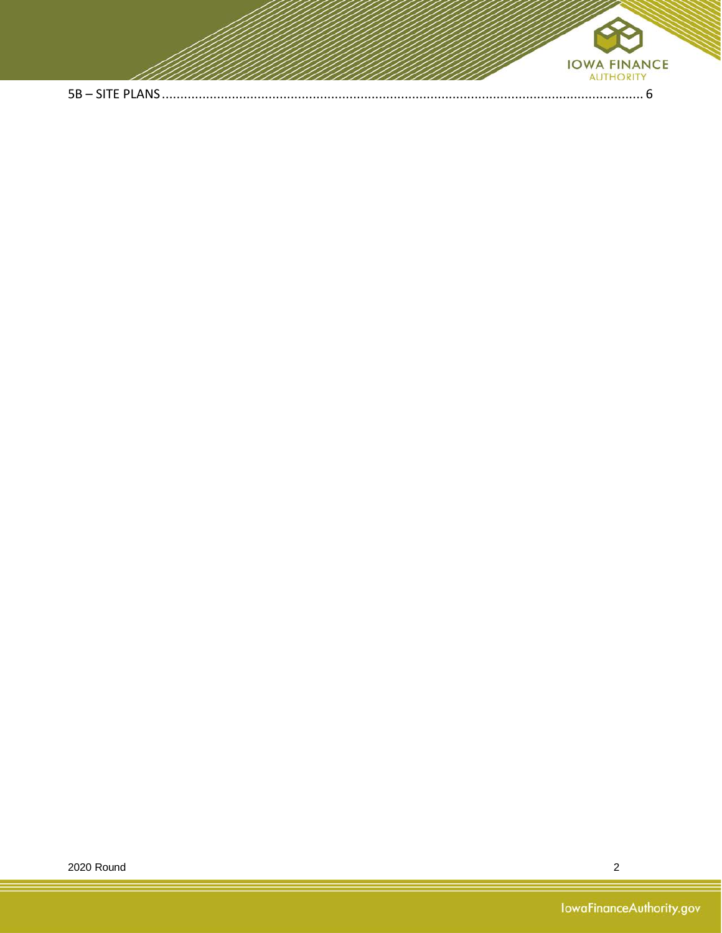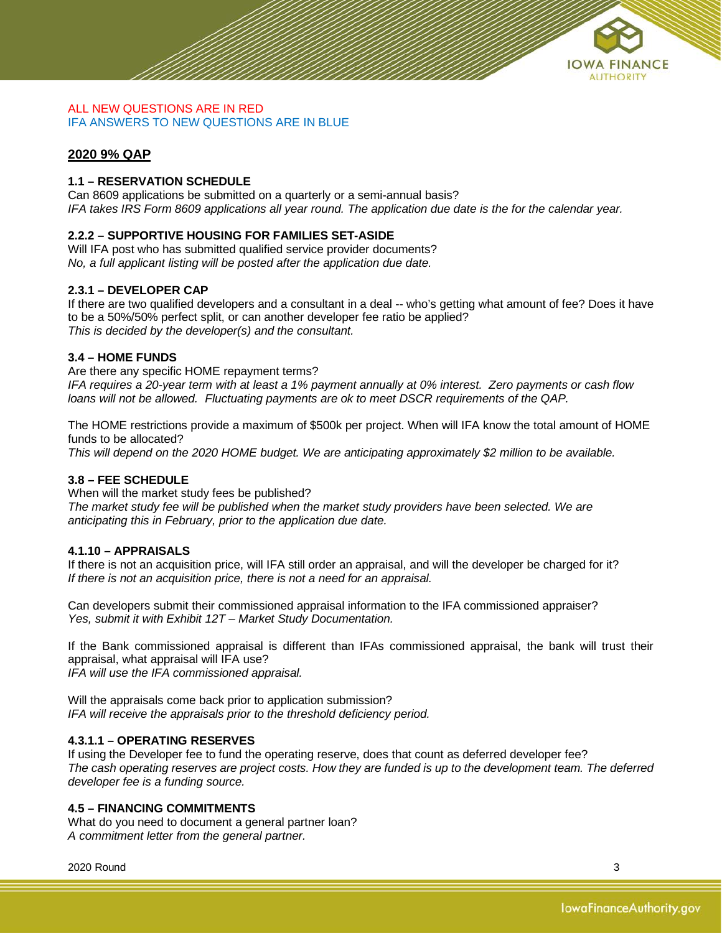

#### ALL NEW QUESTIONS ARE IN RED IFA ANSWERS TO NEW QUESTIONS ARE IN BLUE

## **2020 9% QAP**

## <span id="page-2-0"></span>**1.1 – RESERVATION SCHEDULE**

Can 8609 applications be submitted on a quarterly or a semi-annual basis? *IFA takes IRS Form 8609 applications all year round. The application due date is the for the calendar year.*

## <span id="page-2-1"></span>**2.2.2 – SUPPORTIVE HOUSING FOR FAMILIES SET-ASIDE**

Will IFA post who has submitted qualified service provider documents? *No, a full applicant listing will be posted after the application due date.* 

## <span id="page-2-2"></span>**2.3.1 – DEVELOPER CAP**

If there are two qualified developers and a consultant in a deal -- who's getting what amount of fee? Does it have to be a 50%/50% perfect split, or can another developer fee ratio be applied? *This is decided by the developer(s) and the consultant.*

## <span id="page-2-3"></span>**3.4 – HOME FUNDS**

Are there any specific HOME repayment terms?

*IFA requires a 20-year term with at least a 1% payment annually at 0% interest. Zero payments or cash flow loans will not be allowed. Fluctuating payments are ok to meet DSCR requirements of the QAP.*

The HOME restrictions provide a maximum of \$500k per project. When will IFA know the total amount of HOME funds to be allocated?

*This will depend on the 2020 HOME budget. We are anticipating approximately \$2 million to be available.* 

## <span id="page-2-4"></span>**3.8 – FEE SCHEDULE**

When will the market study fees be published? *The market study fee will be published when the market study providers have been selected. We are anticipating this in February, prior to the application due date.* 

#### <span id="page-2-5"></span>**4.1.10 – APPRAISALS**

If there is not an acquisition price, will IFA still order an appraisal, and will the developer be charged for it? *If there is not an acquisition price, there is not a need for an appraisal.*

Can developers submit their commissioned appraisal information to the IFA commissioned appraiser? *Yes, submit it with Exhibit 12T – Market Study Documentation.*

If the Bank commissioned appraisal is different than IFAs commissioned appraisal, the bank will trust their appraisal, what appraisal will IFA use?

*IFA will use the IFA commissioned appraisal.* 

Will the appraisals come back prior to application submission? *IFA will receive the appraisals prior to the threshold deficiency period.* 

## <span id="page-2-6"></span>**4.3.1.1 – OPERATING RESERVES**

If using the Developer fee to fund the operating reserve, does that count as deferred developer fee? *The cash operating reserves are project costs. How they are funded is up to the development team. The deferred developer fee is a funding source.* 

#### <span id="page-2-7"></span>**4.5 – FINANCING COMMITMENTS**

What do you need to document a general partner loan? *A commitment letter from the general partner.*

2020 Round 3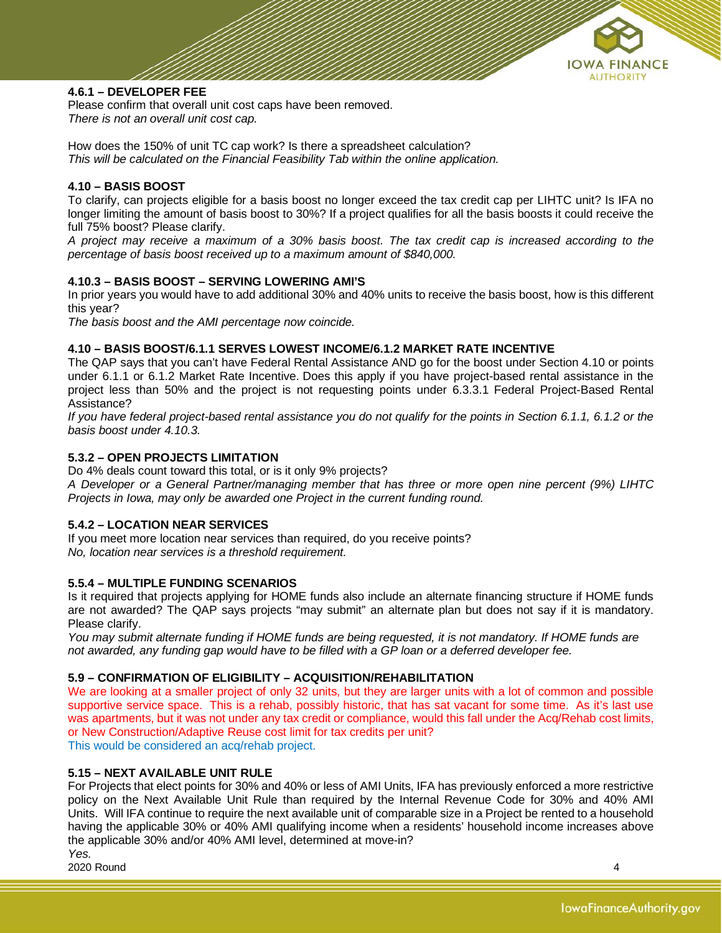

## <span id="page-3-0"></span>**4.6.1 – DEVELOPER FEE**

Please confirm that overall unit cost caps have been removed. *There is not an overall unit cost cap.* 

How does the 150% of unit TC cap work? Is there a spreadsheet calculation? *This will be calculated on the Financial Feasibility Tab within the online application.*

#### <span id="page-3-1"></span>**4.10 – BASIS BOOST**

To clarify, can projects eligible for a basis boost no longer exceed the tax credit cap per LIHTC unit? Is IFA no longer limiting the amount of basis boost to 30%? If a project qualifies for all the basis boosts it could receive the full 75% boost? Please clarify.

*A project may receive a maximum of a 30% basis boost. The tax credit cap is increased according to the percentage of basis boost received up to a maximum amount of \$840,000.*

## <span id="page-3-2"></span>**4.10.3 – BASIS BOOST – SERVING LOWERING AMI'S**

In prior years you would have to add additional 30% and 40% units to receive the basis boost, how is this different this year?

*The basis boost and the AMI percentage now coincide.* 

## <span id="page-3-3"></span>**4.10 – BASIS BOOST/6.1.1 SERVES LOWEST INCOME/6.1.2 MARKET RATE INCENTIVE**

The QAP says that you can't have Federal Rental Assistance AND go for the boost under Section 4.10 or points under 6.1.1 or 6.1.2 Market Rate Incentive. Does this apply if you have project-based rental assistance in the project less than 50% and the project is not requesting points under 6.3.3.1 Federal Project-Based Rental Assistance?

*If you have federal project-based rental assistance you do not qualify for the points in Section 6.1.1, 6.1.2 or the basis boost under 4.10.3.*

## <span id="page-3-4"></span>**5.3.2 – OPEN PROJECTS LIMITATION**

Do 4% deals count toward this total, or is it only 9% projects? *A Developer or a General Partner/managing member that has three or more open nine percent (9%) LIHTC Projects in Iowa, may only be awarded one Project in the current funding round.*

#### <span id="page-3-5"></span>**5.4.2 – LOCATION NEAR SERVICES**

If you meet more location near services than required, do you receive points? *No, location near services is a threshold requirement.* 

#### <span id="page-3-6"></span>**5.5.4 – MULTIPLE FUNDING SCENARIOS**

Is it required that projects applying for HOME funds also include an alternate financing structure if HOME funds are not awarded? The QAP says projects "may submit" an alternate plan but does not say if it is mandatory. Please clarify.

*You may submit alternate funding if HOME funds are being requested, it is not mandatory. If HOME funds are not awarded, any funding gap would have to be filled with a GP loan or a deferred developer fee.*

#### <span id="page-3-7"></span>**5.9 – CONFIRMATION OF ELIGIBILITY – ACQUISITION/REHABILITATION**

We are looking at a smaller project of only 32 units, but they are larger units with a lot of common and possible supportive service space. This is a rehab, possibly historic, that has sat vacant for some time. As it's last use was apartments, but it was not under any tax credit or compliance, would this fall under the Acq/Rehab cost limits, or New Construction/Adaptive Reuse cost limit for tax credits per unit? This would be considered an acq/rehab project.

#### <span id="page-3-8"></span>**5.15 – NEXT AVAILABLE UNIT RULE**

For Projects that elect points for 30% and 40% or less of AMI Units, IFA has previously enforced a more restrictive policy on the Next Available Unit Rule than required by the Internal Revenue Code for 30% and 40% AMI Units. Will IFA continue to require the next available unit of comparable size in a Project be rented to a household having the applicable 30% or 40% AMI qualifying income when a residents' household income increases above the applicable 30% and/or 40% AMI level, determined at move-in?

2020 Round 4 *Yes.*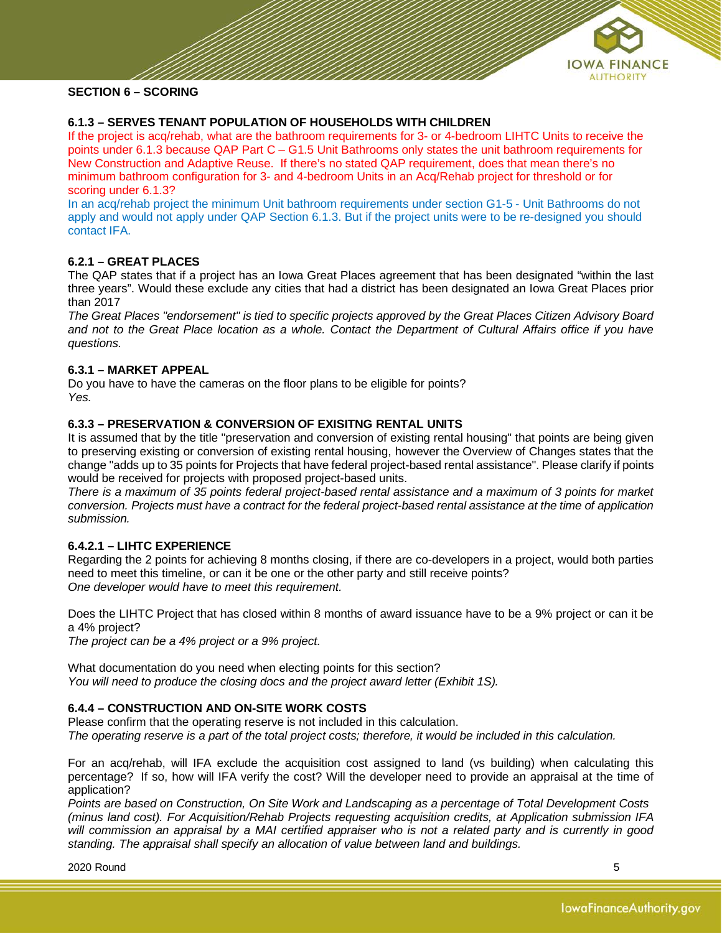

## <span id="page-4-1"></span><span id="page-4-0"></span>**6.1.3 – SERVES TENANT POPULATION OF HOUSEHOLDS WITH CHILDREN**

If the project is acq/rehab, what are the bathroom requirements for 3- or 4-bedroom LIHTC Units to receive the points under 6.1.3 because QAP Part C – G1.5 Unit Bathrooms only states the unit bathroom requirements for New Construction and Adaptive Reuse. If there's no stated QAP requirement, does that mean there's no minimum bathroom configuration for 3- and 4-bedroom Units in an Acq/Rehab project for threshold or for scoring under 6.1.3?

In an acq/rehab project the minimum Unit bathroom requirements under section G1-5 - Unit Bathrooms do not apply and would not apply under QAP Section 6.1.3. But if the project units were to be re-designed you should contact IFA.

## <span id="page-4-2"></span>**6.2.1 – GREAT PLACES**

The QAP states that if a project has an Iowa Great Places agreement that has been designated "within the last three years". Would these exclude any cities that had a district has been designated an Iowa Great Places prior than 2017

*The Great Places "endorsement" is tied to specific projects approved by the Great Places Citizen Advisory Board and not to the Great Place location as a whole. Contact the Department of Cultural Affairs office if you have questions.* 

## <span id="page-4-3"></span>**6.3.1 – MARKET APPEAL**

Do you have to have the cameras on the floor plans to be eligible for points? *Yes.*

## <span id="page-4-4"></span>**6.3.3 – PRESERVATION & CONVERSION OF EXISITNG RENTAL UNITS**

It is assumed that by the title "preservation and conversion of existing rental housing" that points are being given to preserving existing or conversion of existing rental housing, however the Overview of Changes states that the change "adds up to 35 points for Projects that have federal project-based rental assistance". Please clarify if points would be received for projects with proposed project-based units.

*There is a maximum of 35 points federal project-based rental assistance and a maximum of 3 points for market conversion. Projects must have a contract for the federal project-based rental assistance at the time of application submission.*

#### <span id="page-4-5"></span>**6.4.2.1 – LIHTC EXPERIENCE**

Regarding the 2 points for achieving 8 months closing, if there are co-developers in a project, would both parties need to meet this timeline, or can it be one or the other party and still receive points? *One developer would have to meet this requirement.*

Does the LIHTC Project that has closed within 8 months of award issuance have to be a 9% project or can it be a 4% project?

*The project can be a 4% project or a 9% project.*

What documentation do you need when electing points for this section? *You will need to produce the closing docs and the project award letter (Exhibit 1S).*

## <span id="page-4-6"></span>**6.4.4 – CONSTRUCTION AND ON-SITE WORK COSTS**

Please confirm that the operating reserve is not included in this calculation. *The operating reserve is a part of the total project costs; therefore, it would be included in this calculation.*

For an acq/rehab, will IFA exclude the acquisition cost assigned to land (vs building) when calculating this percentage? If so, how will IFA verify the cost? Will the developer need to provide an appraisal at the time of application?

*Points are based on Construction, On Site Work and Landscaping as a percentage of Total Development Costs (minus land cost). For Acquisition/Rehab Projects requesting acquisition credits, at Application submission IFA will commission an appraisal by a MAI certified appraiser who is not a related party and is currently in good standing. The appraisal shall specify an allocation of value between land and buildings.* 

2020 Round 5